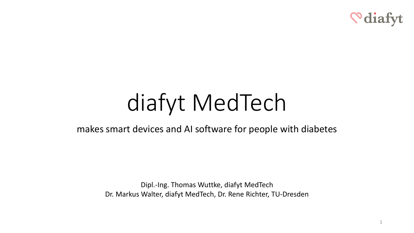

1

# diafyt MedTech

### makes smart devices and AI software for people with diabetes

Dipl.-Ing. Thomas Wuttke, diafyt MedTech Dr. Markus Walter, diafyt MedTech, Dr. Rene Richter, TU-Dresden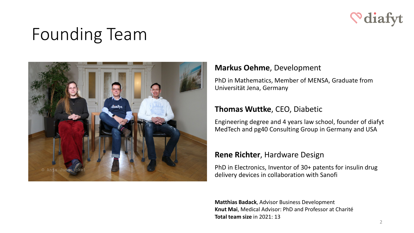

# Founding Team



#### **Markus Oehme**, Development

PhD in Mathematics, Member of MENSA, Graduate from Universität Jena, Germany

#### **Thomas Wuttke**, CEO, Diabetic

Engineering degree and 4 years law school, founder of diafyt MedTech and pg40 Consulting Group in Germany and USA

#### **Rene Richter**, Hardware Design

PhD in Electronics, Inventor of 30+ patents for insulin drug delivery devices in collaboration with Sanofi

**Matthias Badack**, Advisor Business Development **Knut Mai**, Medical Advisor: PhD and Professor at Charité **Total team size** in 2021: 13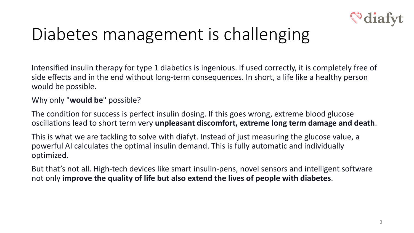

# Diabetes management is challenging

Intensified insulin therapy for type 1 diabetics is ingenious. If used correctly, it is completely free of side effects and in the end without long-term consequences. In short, a life like a healthy person would be possible.

### Why only "**would be**" possible?

The condition for success is perfect insulin dosing. If this goes wrong, extreme blood glucose oscillations lead to short term very **unpleasant discomfort, extreme long term damage and death**.

This is what we are tackling to solve with diafyt. Instead of just measuring the glucose value, a powerful AI calculates the optimal insulin demand. This is fully automatic and individually optimized.

But that's not all. High-tech devices like smart insulin-pens, novel sensors and intelligent software not only **improve the quality of life but also extend the lives of people with diabetes**.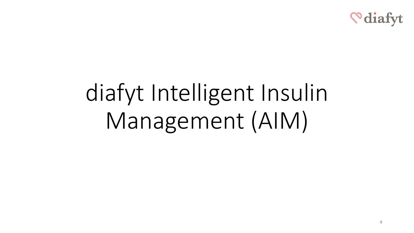

# diafyt Intelligent Insulin Management (AIM)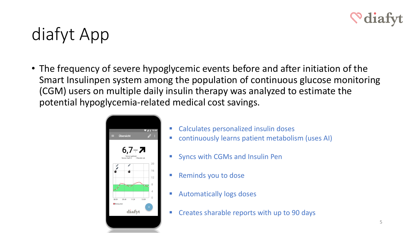

# diafyt App

• The frequency of severe hypoglycemic events before and after initiation of the Smart Insulinpen system among the population of continuous glucose monitoring (CGM) users on multiple daily insulin therapy was analyzed to estimate the potential hypoglycemia-related medical cost savings.



- Calculates personalized insulin doses
- continuously learns patient metabolism (uses AI)
- **Syncs with CGMs and Insulin Pen**
- **Reminds you to dose**
- **Automatically logs doses**
- **EXP** Creates sharable reports with up to 90 days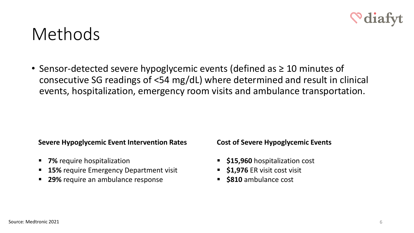

### Methods

• Sensor-detected severe hypoglycemic events (defined as ≥ 10 minutes of consecutive SG readings of <54 mg/dL) where determined and result in clinical events, hospitalization, emergency room visits and ambulance transportation.

#### **Severe Hypoglycemic Event Intervention Rates**

- **7%** require hospitalization
- **15%** require Emergency Department visit
- **29%** require an ambulance response

**Cost of Severe Hypoglycemic Events**

- **515,960** hospitalization cost
- **51,976 ER visit cost visit**
- **\$810** ambulance cost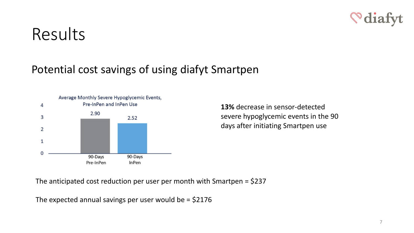## Results

### Potential cost savings of using diafyt Smartpen



**13%** decrease in sensor-detected severe hypoglycemic events in the 90 days after initiating Smartpen use

The anticipated cost reduction per user per month with Smartpen = \$237

The expected annual savings per user would be  $=$  \$2176

<u>Salat</u>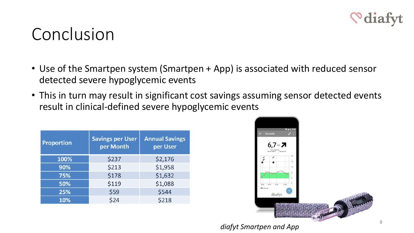

### Conclusion

- Use of the Smartpen system (Smartpen + App) is associated with reduced sensor detected severe hypoglycemic events
- This in turn may result in significant cost savings assuming sensor detected events result in clinical-defined severe hypoglycemic events

| <b>Proportion</b> | <b>Savings per User</b><br>per Month | <b>Annual Savings</b><br>per User |
|-------------------|--------------------------------------|-----------------------------------|
| 100%              | \$237                                | \$2,176                           |
| 90%               | \$213                                | \$1,958                           |
| 75%               | \$178                                | \$1,632                           |
| 50%               | \$119                                | \$1,088                           |
| 25%               | \$59                                 | \$544                             |
| 10%               | \$24                                 | \$218                             |



*diafyt Smartpen and App*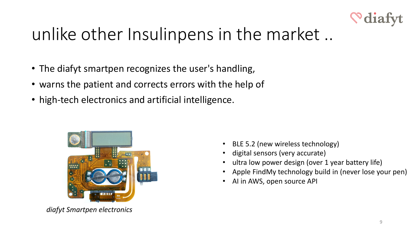

# unlike other Insulinpens in the market ..

- The diafyt smartpen recognizes the user's handling,
- warns the patient and corrects errors with the help of
- high-tech electronics and artificial intelligence.



*diafyt Smartpen electronics*

- BLE 5.2 (new wireless technology)
- digital sensors (very accurate)
- ultra low power design (over 1 year battery life)
- Apple FindMy technology build in (never lose your pen)
- AI in AWS, open source API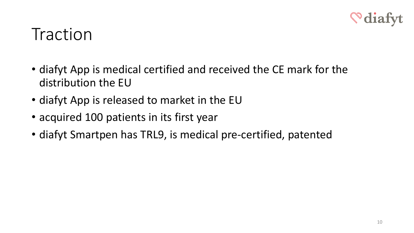

### **Traction**

- diafyt App is medical certified and received the CE mark for the distribution the EU
- diafyt App is released to market in the EU
- acquired 100 patients in its first year
- diafyt Smartpen has TRL9, is medical pre-certified, patented